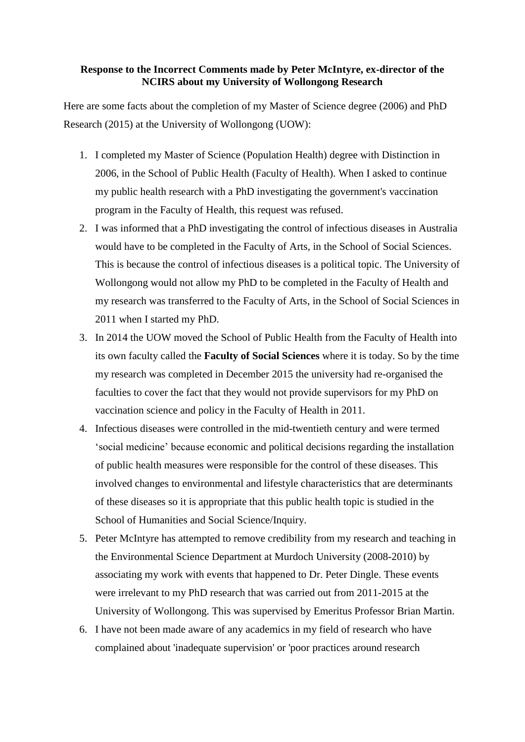## **Response to the Incorrect Comments made by Peter McIntyre, ex-director of the NCIRS about my University of Wollongong Research**

Here are some facts about the completion of my Master of Science degree (2006) and PhD Research (2015) at the University of Wollongong (UOW):

- 1. I completed my Master of Science (Population Health) degree with Distinction in 2006, in the School of Public Health (Faculty of Health). When I asked to continue my public health research with a PhD investigating the government's vaccination program in the Faculty of Health, this request was refused.
- 2. I was informed that a PhD investigating the control of infectious diseases in Australia would have to be completed in the Faculty of Arts, in the School of Social Sciences. This is because the control of infectious diseases is a political topic. The University of Wollongong would not allow my PhD to be completed in the Faculty of Health and my research was transferred to the Faculty of Arts, in the School of Social Sciences in 2011 when I started my PhD.
- 3. In 2014 the UOW moved the School of Public Health from the Faculty of Health into its own faculty called the **Faculty of Social Sciences** where it is today. So by the time my research was completed in December 2015 the university had re-organised the faculties to cover the fact that they would not provide supervisors for my PhD on vaccination science and policy in the Faculty of Health in 2011.
- 4. Infectious diseases were controlled in the mid-twentieth century and were termed 'social medicine' because economic and political decisions regarding the installation of public health measures were responsible for the control of these diseases. This involved changes to environmental and lifestyle characteristics that are determinants of these diseases so it is appropriate that this public health topic is studied in the School of Humanities and Social Science/Inquiry.
- 5. Peter McIntyre has attempted to remove credibility from my research and teaching in the Environmental Science Department at Murdoch University (2008-2010) by associating my work with events that happened to Dr. Peter Dingle. These events were irrelevant to my PhD research that was carried out from 2011-2015 at the University of Wollongong. This was supervised by Emeritus Professor Brian Martin.
- 6. I have not been made aware of any academics in my field of research who have complained about 'inadequate supervision' or 'poor practices around research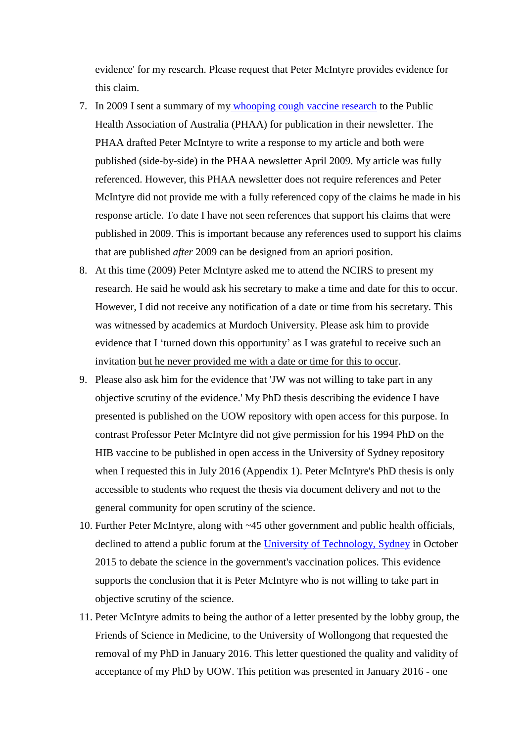evidence' for my research. Please request that Peter McIntyre provides evidence for this claim.

- 7. In 2009 I sent a summary of my [whooping cough vaccine research](https://vaccinationdecisions.net/wp-content/uploads/2014/02/WhoopingcoughAnalysis1.pdf) to the Public Health Association of Australia (PHAA) for publication in their newsletter. The PHAA drafted Peter McIntyre to write a response to my article and both were published (side-by-side) in the PHAA newsletter April 2009. My article was fully referenced. However, this PHAA newsletter does not require references and Peter McIntyre did not provide me with a fully referenced copy of the claims he made in his response article. To date I have not seen references that support his claims that were published in 2009. This is important because any references used to support his claims that are published *after* 2009 can be designed from an apriori position.
- 8. At this time (2009) Peter McIntyre asked me to attend the NCIRS to present my research. He said he would ask his secretary to make a time and date for this to occur. However, I did not receive any notification of a date or time from his secretary. This was witnessed by academics at Murdoch University. Please ask him to provide evidence that I 'turned down this opportunity' as I was grateful to receive such an invitation but he never provided me with a date or time for this to occur.
- 9. Please also ask him for the evidence that 'JW was not willing to take part in any objective scrutiny of the evidence.' My PhD thesis describing the evidence I have presented is published on the UOW repository with open access for this purpose. In contrast Professor Peter McIntyre did not give permission for his 1994 PhD on the HIB vaccine to be published in open access in the University of Sydney repository when I requested this in July 2016 (Appendix 1). Peter McIntyre's PhD thesis is only accessible to students who request the thesis via document delivery and not to the general community for open scrutiny of the science.
- 10. Further Peter McIntyre, along with ~45 other government and public health officials, declined to attend a public forum at the [University of Technology, Sydney](https://www.youtube.com/watch?v=srTsNXUjRFM&feature=youtu.be) in October 2015 to debate the science in the government's vaccination polices. This evidence supports the conclusion that it is Peter McIntyre who is not willing to take part in objective scrutiny of the science.
- 11. Peter McIntyre admits to being the author of a letter presented by the lobby group, the Friends of Science in Medicine, to the University of Wollongong that requested the removal of my PhD in January 2016. This letter questioned the quality and validity of acceptance of my PhD by UOW. This petition was presented in January 2016 - one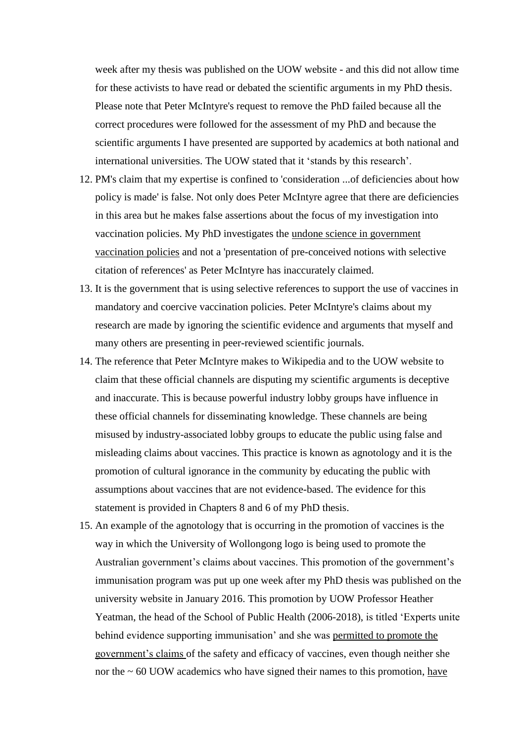week after my thesis was published on the UOW website - and this did not allow time for these activists to have read or debated the scientific arguments in my PhD thesis. Please note that Peter McIntyre's request to remove the PhD failed because all the correct procedures were followed for the assessment of my PhD and because the scientific arguments I have presented are supported by academics at both national and international universities. The UOW stated that it 'stands by this research'.

- 12. PM's claim that my expertise is confined to 'consideration ...of deficiencies about how policy is made' is false. Not only does Peter McIntyre agree that there are deficiencies in this area but he makes false assertions about the focus of my investigation into vaccination policies. My PhD investigates the undone science in government vaccination policies and not a 'presentation of pre-conceived notions with selective citation of references' as Peter McIntyre has inaccurately claimed.
- 13. It is the government that is using selective references to support the use of vaccines in mandatory and coercive vaccination policies. Peter McIntyre's claims about my research are made by ignoring the scientific evidence and arguments that myself and many others are presenting in peer-reviewed scientific journals.
- 14. The reference that Peter McIntyre makes to Wikipedia and to the UOW website to claim that these official channels are disputing my scientific arguments is deceptive and inaccurate. This is because powerful industry lobby groups have influence in these official channels for disseminating knowledge. These channels are being misused by industry-associated lobby groups to educate the public using false and misleading claims about vaccines. This practice is known as agnotology and it is the promotion of cultural ignorance in the community by educating the public with assumptions about vaccines that are not evidence-based. The evidence for this statement is provided in Chapters 8 and 6 of my PhD thesis.
- 15. An example of the agnotology that is occurring in the promotion of vaccines is the way in which the University of Wollongong logo is being used to promote the Australian government's claims about vaccines. This promotion of the government's immunisation program was put up one week after my PhD thesis was published on the university website in January 2016. This promotion by UOW Professor Heather Yeatman, the head of the School of Public Health (2006-2018), is titled 'Experts unite behind evidence supporting immunisation' and she was permitted to promote the government's claims of the safety and efficacy of vaccines, even though neither she nor the  $\sim 60$  UOW academics who have signed their names to this promotion, have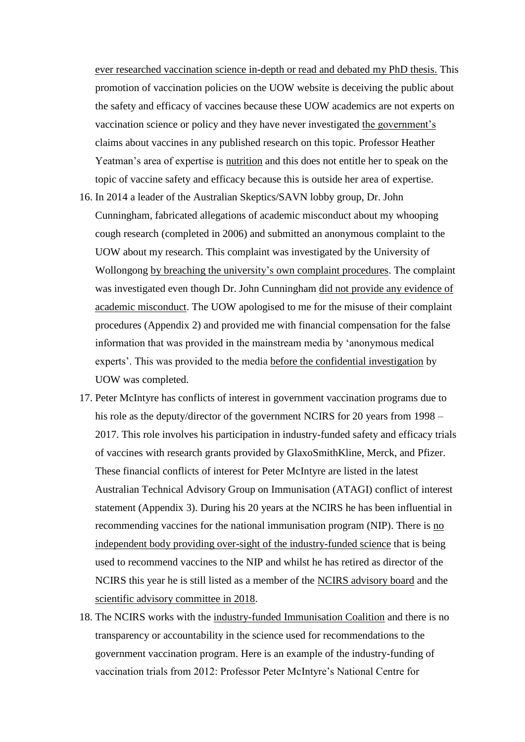ever researched vaccination science in-depth or read and debated my PhD thesis. This promotion of vaccination policies on the UOW website is deceiving the public about the safety and efficacy of vaccines because these UOW academics are not experts on vaccination science or policy and they have never investigated the government's claims about vaccines in any published research on this topic. Professor Heather Yeatman's area of expertise is nutrition and this does not entitle her to speak on the topic of vaccine safety and efficacy because this is outside her area of expertise.

- 16. In 2014 a leader of the Australian Skeptics/SAVN lobby group, Dr. John Cunningham, fabricated allegations of academic misconduct about my whooping cough research (completed in 2006) and submitted an anonymous complaint to the UOW about my research. This complaint was investigated by the University of Wollongong by breaching the university's own complaint procedures. The complaint was investigated even though Dr. John Cunningham did not provide any evidence of academic misconduct. The UOW apologised to me for the misuse of their complaint procedures (Appendix 2) and provided me with financial compensation for the false information that was provided in the mainstream media by 'anonymous medical experts'. This was provided to the media before the confidential investigation by UOW was completed.
- 17. Peter McIntyre has conflicts of interest in government vaccination programs due to his role as the deputy/director of the government NCIRS for 20 years from 1998 – 2017. This role involves his participation in industry-funded safety and efficacy trials of vaccines with research grants provided by GlaxoSmithKline, Merck, and Pfizer. These financial conflicts of interest for Peter McIntyre are listed in the latest Australian Technical Advisory Group on Immunisation (ATAGI) conflict of interest statement (Appendix 3). During his 20 years at the NCIRS he has been influential in recommending vaccines for the national immunisation program (NIP). There is no independent body providing over-sight of the industry-funded science that is being used to recommend vaccines to the NIP and whilst he has retired as director of the NCIRS this year he is still listed as a member of the NCIRS advisory board and the scientific advisory committee in 2018.
- 18. The NCIRS works with the industry-funded Immunisation Coalition and there is no transparency or accountability in the science used for recommendations to the government vaccination program. Here is an example of the industry-funding of vaccination trials from 2012: Professor Peter McIntyre's National Centre for